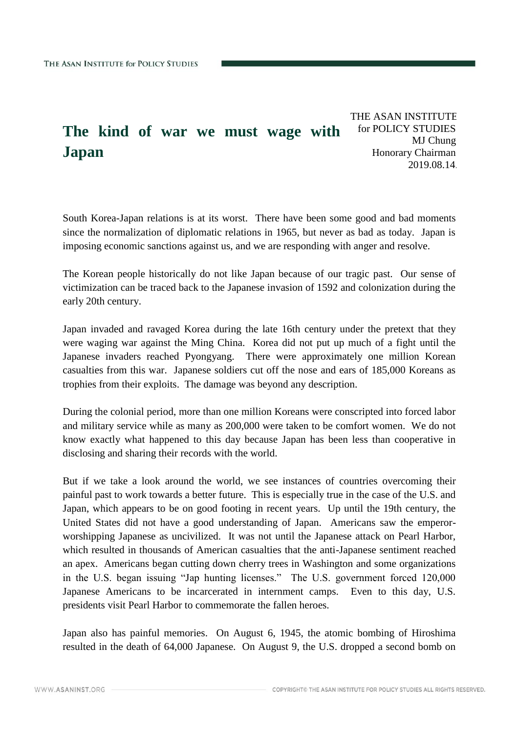## **The kind of war we must wage with Japan**

THE ASAN INSTITUTE for POLICY STUDIES MJ Chung Honorary Chairman 2019.08.14.

South Korea-Japan relations is at its worst. There have been some good and bad moments since the normalization of diplomatic relations in 1965, but never as bad as today. Japan is imposing economic sanctions against us, and we are responding with anger and resolve.

The Korean people historically do not like Japan because of our tragic past. Our sense of victimization can be traced back to the Japanese invasion of 1592 and colonization during the early 20th century.

Japan invaded and ravaged Korea during the late 16th century under the pretext that they were waging war against the Ming China. Korea did not put up much of a fight until the Japanese invaders reached Pyongyang. There were approximately one million Korean casualties from this war. Japanese soldiers cut off the nose and ears of 185,000 Koreans as trophies from their exploits. The damage was beyond any description.

During the colonial period, more than one million Koreans were conscripted into forced labor and military service while as many as 200,000 were taken to be comfort women. We do not know exactly what happened to this day because Japan has been less than cooperative in disclosing and sharing their records with the world.

But if we take a look around the world, we see instances of countries overcoming their painful past to work towards a better future. This is especially true in the case of the U.S. and Japan, which appears to be on good footing in recent years. Up until the 19th century, the United States did not have a good understanding of Japan. Americans saw the emperorworshipping Japanese as uncivilized. It was not until the Japanese attack on Pearl Harbor, which resulted in thousands of American casualties that the anti-Japanese sentiment reached an apex. Americans began cutting down cherry trees in Washington and some organizations in the U.S. began issuing "Jap hunting licenses." The U.S. government forced 120,000 Japanese Americans to be incarcerated in internment camps. Even to this day, U.S. presidents visit Pearl Harbor to commemorate the fallen heroes.

Japan also has painful memories. On August 6, 1945, the atomic bombing of Hiroshima resulted in the death of 64,000 Japanese. On August 9, the U.S. dropped a second bomb on